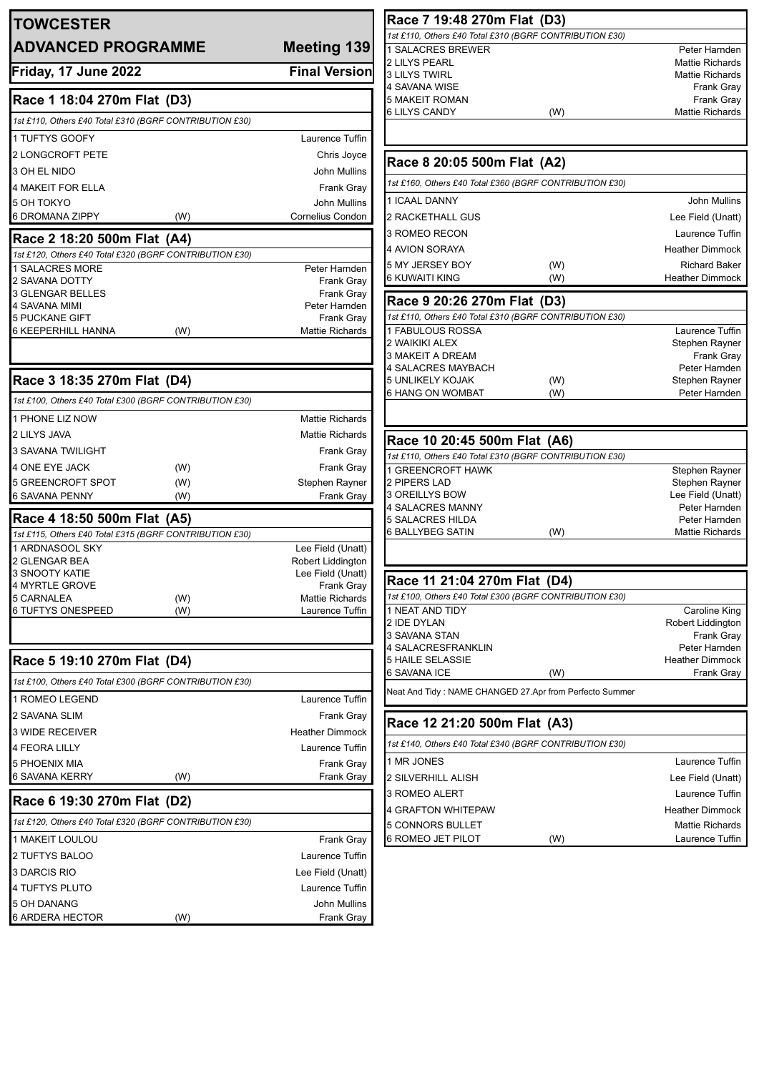| <b>TOWCESTER</b>                                        |                                      | Race 7 19:48 270m Flat (D3)                             |            |                                                  |
|---------------------------------------------------------|--------------------------------------|---------------------------------------------------------|------------|--------------------------------------------------|
| <b>ADVANCED PROGRAMME</b>                               |                                      | 1st £110, Others £40 Total £310 (BGRF CONTRIBUTION £30) |            |                                                  |
|                                                         | Meeting 139                          | 1 SALACRES BREWER<br>2 LILYS PEARL                      |            | Peter Harnden<br><b>Mattie Richards</b>          |
| Friday, 17 June 2022                                    | <b>Final Version</b>                 | <b>3 LILYS TWIRL</b>                                    |            | <b>Mattie Richards</b>                           |
|                                                         |                                      | 4 SAVANA WISE                                           |            | Frank Gray                                       |
| Race 1 18:04 270m Flat (D3)                             |                                      | 5 MAKEIT ROMAN<br><b>6 LILYS CANDY</b>                  | (W)        | Frank Gray<br><b>Mattie Richards</b>             |
| 1st £110, Others £40 Total £310 (BGRF CONTRIBUTION £30) |                                      |                                                         |            |                                                  |
| 1 TUFTYS GOOFY                                          | Laurence Tuffin                      |                                                         |            |                                                  |
| 2 LONGCROFT PETE                                        | Chris Joyce                          |                                                         |            |                                                  |
| 3 OH EL NIDO                                            | John Mullins                         | Race 8 20:05 500m Flat (A2)                             |            |                                                  |
| 4 MAKEIT FOR ELLA                                       | <b>Frank Gray</b>                    | 1st £160, Others £40 Total £360 (BGRF CONTRIBUTION £30) |            |                                                  |
| 5 OH TOKYO                                              | <b>John Mullins</b>                  | 1 ICAAL DANNY                                           |            | John Mullins                                     |
| 6 DROMANA ZIPPY<br>(W)                                  | <b>Cornelius Condon</b>              | 2 RACKETHALL GUS                                        |            | Lee Field (Unatt)                                |
| Race 2 18:20 500m Flat (A4)                             |                                      | 3 ROMEO RECON                                           |            | Laurence Tuffin                                  |
| 1st £120, Others £40 Total £320 (BGRF CONTRIBUTION £30) |                                      | 4 AVION SORAYA                                          |            | <b>Heather Dimmock</b>                           |
| 1 SALACRES MORE                                         | Peter Harnden                        | 5 MY JERSEY BOY                                         | (W)        | <b>Richard Baker</b>                             |
| 2 SAVANA DOTTY                                          | <b>Frank Gray</b>                    | <b>6 KUWAITI KING</b>                                   | (W)        | <b>Heather Dimmock</b>                           |
| <b>3 GLENGAR BELLES</b>                                 | <b>Frank Gray</b>                    | Race 9 20:26 270m Flat (D3)                             |            |                                                  |
| <b>4 SAVANA MIMI</b><br><b>5 PUCKANE GIFT</b>           | Peter Harnden<br><b>Frank Gray</b>   | 1st £110, Others £40 Total £310 (BGRF CONTRIBUTION £30) |            |                                                  |
| <b>6 KEEPERHILL HANNA</b><br>(W)                        | <b>Mattie Richards</b>               | 1 FABULOUS ROSSA                                        |            | Laurence Tuffin                                  |
|                                                         |                                      | 2 WAIKIKI ALEX                                          |            | Stephen Rayner                                   |
|                                                         |                                      | 3 MAKEIT A DREAM                                        |            | Frank Gray                                       |
| Race 3 18:35 270m Flat (D4)                             |                                      | 4 SALACRES MAYBACH<br>5 UNLIKELY KOJAK                  |            | Peter Harnden                                    |
|                                                         |                                      | <b>6 HANG ON WOMBAT</b>                                 | (W)<br>(W) | Stephen Rayner<br>Peter Harnden                  |
| 1st £100, Others £40 Total £300 (BGRF CONTRIBUTION £30) |                                      |                                                         |            |                                                  |
| 1 PHONE LIZ NOW                                         | <b>Mattie Richards</b>               |                                                         |            |                                                  |
| 2 LILYS JAVA                                            | <b>Mattie Richards</b>               | Race 10 20:45 500m Flat (A6)                            |            |                                                  |
| 3 SAVANA TWILIGHT                                       | <b>Frank Gray</b>                    | 1st £110, Others £40 Total £310 (BGRF CONTRIBUTION £30) |            |                                                  |
| 4 ONE EYE JACK<br>(W)                                   | Frank Gray                           | 1 GREENCROFT HAWK                                       |            | Stephen Rayner                                   |
| 5 GREENCROFT SPOT<br>(W)                                | Stephen Rayner                       | 2 PIPERS LAD                                            |            | Stephen Rayner                                   |
| <b>6 SAVANA PENNY</b><br>(W)                            | <b>Frank Gray</b>                    | 3 OREILLYS BOW                                          |            | Lee Field (Unatt)                                |
| Race 4 18:50 500m Flat (A5)                             |                                      | 4 SALACRES MANNY<br><b>5 SALACRES HILDA</b>             |            | Peter Harnden<br>Peter Harnden                   |
| 1st £115, Others £40 Total £315 (BGRF CONTRIBUTION £30) |                                      | <b>6 BALLYBEG SATIN</b>                                 | (W)        | <b>Mattie Richards</b>                           |
| 1 ARDNASOOL SKY                                         | Lee Field (Unatt)                    |                                                         |            |                                                  |
| 2 GLENGAR BEA                                           | Robert Liddington                    |                                                         |            |                                                  |
| <b>3 SNOOTY KATIE</b>                                   | Lee Field (Unatt)                    | Race 11 21:04 270m Flat (D4)                            |            |                                                  |
| 4 MYRTLE GROVE<br>5 CARNALEA<br>(W)                     | Frank Gray<br><b>Mattie Richards</b> | 1st £100, Others £40 Total £300 (BGRF CONTRIBUTION £30) |            |                                                  |
| <b>6 TUFTYS ONESPEED</b><br>(W)                         | Laurence Tuffin                      | 1 NEAT AND TIDY                                         |            | Caroline King                                    |
|                                                         |                                      | 2 IDE DYLAN                                             |            | Robert Liddington                                |
|                                                         |                                      | 3 SAVANA STAN                                           |            | Frank Gray                                       |
|                                                         |                                      | 4 SALACRESFRANKLIN                                      |            | Peter Harnden                                    |
| Race 5 19:10 270m Flat (D4)                             |                                      | 5 HAILE SELASSIE<br>6 SAVANA ICE                        | (W)        | <b>Heather Dimmock</b><br>Frank Gray             |
| 1st £100, Others £40 Total £300 (BGRF CONTRIBUTION £30) |                                      | Neat And Tidy: NAME CHANGED 27.Apr from Perfecto Summer |            |                                                  |
| 1 ROMEO LEGEND                                          | Laurence Tuffin                      |                                                         |            |                                                  |
| 2 SAVANA SLIM                                           | <b>Frank Gray</b>                    | Race 12 21:20 500m Flat (A3)                            |            |                                                  |
| 3 WIDE RECEIVER                                         | <b>Heather Dimmock</b>               |                                                         |            |                                                  |
| 4 FEORA LILLY                                           | Laurence Tuffin                      | 1st £140, Others £40 Total £340 (BGRF CONTRIBUTION £30) |            |                                                  |
| <b>5 PHOENIX MIA</b>                                    | <b>Frank Gray</b>                    | 1 MR JONES                                              |            | Laurence Tuffin                                  |
| 6 SAVANA KERRY<br>(W)                                   | Frank Gray                           | 2 SILVERHILL ALISH                                      |            | Lee Field (Unatt)                                |
| Race 6 19:30 270m Flat (D2)                             |                                      | 3 ROMEO ALERT                                           |            | Laurence Tuffin                                  |
| 1st £120, Others £40 Total £320 (BGRF CONTRIBUTION £30) |                                      | 4 GRAFTON WHITEPAW                                      |            | <b>Heather Dimmock</b><br><b>Mattie Richards</b> |
| 1 MAKEIT LOULOU                                         | <b>Frank Gray</b>                    | 5 CONNORS BULLET<br>6 ROMEO JET PILOT                   | (W)        | Laurence Tuffin                                  |
| 2 TUFTYS BALOO                                          | Laurence Tuffin                      |                                                         |            |                                                  |
| 3 DARCIS RIO                                            | Lee Field (Unatt)                    |                                                         |            |                                                  |
| 4 TUFTYS PLUTO                                          | Laurence Tuffin                      |                                                         |            |                                                  |
| 5 OH DANANG                                             |                                      |                                                         |            |                                                  |
|                                                         |                                      |                                                         |            |                                                  |
| 6 ARDERA HECTOR<br>(W)                                  | John Mullins<br><b>Frank Gray</b>    |                                                         |            |                                                  |